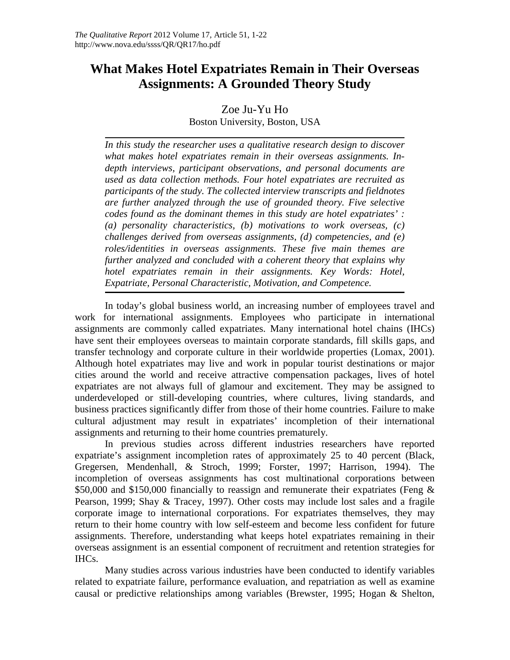# **What Makes Hotel Expatriates Remain in Their Overseas Assignments: A Grounded Theory Study**

Zoe Ju-Yu Ho

Boston University, Boston, USA

*In this study the researcher uses a qualitative research design to discover what makes hotel expatriates remain in their overseas assignments. Indepth interviews, participant observations, and personal documents are used as data collection methods. Four hotel expatriates are recruited as participants of the study. The collected interview transcripts and fieldnotes are further analyzed through the use of grounded theory. Five selective codes found as the dominant themes in this study are hotel expatriates' : (a) personality characteristics, (b) motivations to work overseas, (c) challenges derived from overseas assignments, (d) competencies, and (e) roles/identities in overseas assignments. These five main themes are further analyzed and concluded with a coherent theory that explains why hotel expatriates remain in their assignments. Key Words: Hotel, Expatriate, Personal Characteristic, Motivation, and Competence.*

In today's global business world, an increasing number of employees travel and work for international assignments. Employees who participate in international assignments are commonly called expatriates. Many international hotel chains (IHCs) have sent their employees overseas to maintain corporate standards, fill skills gaps, and transfer technology and corporate culture in their worldwide properties (Lomax, 2001). Although hotel expatriates may live and work in popular tourist destinations or major cities around the world and receive attractive compensation packages, lives of hotel expatriates are not always full of glamour and excitement. They may be assigned to underdeveloped or still-developing countries, where cultures, living standards, and business practices significantly differ from those of their home countries. Failure to make cultural adjustment may result in expatriates' incompletion of their international assignments and returning to their home countries prematurely.

In previous studies across different industries researchers have reported expatriate's assignment incompletion rates of approximately 25 to 40 percent (Black, Gregersen, Mendenhall, & Stroch, 1999; Forster, 1997; Harrison, 1994). The incompletion of overseas assignments has cost multinational corporations between \$50,000 and \$150,000 financially to reassign and remunerate their expatriates (Feng & Pearson, 1999; Shay & Tracey, 1997). Other costs may include lost sales and a fragile corporate image to international corporations. For expatriates themselves, they may return to their home country with low self-esteem and become less confident for future assignments. Therefore, understanding what keeps hotel expatriates remaining in their overseas assignment is an essential component of recruitment and retention strategies for IHCs.

Many studies across various industries have been conducted to identify variables related to expatriate failure, performance evaluation, and repatriation as well as examine causal or predictive relationships among variables (Brewster, 1995; Hogan & Shelton,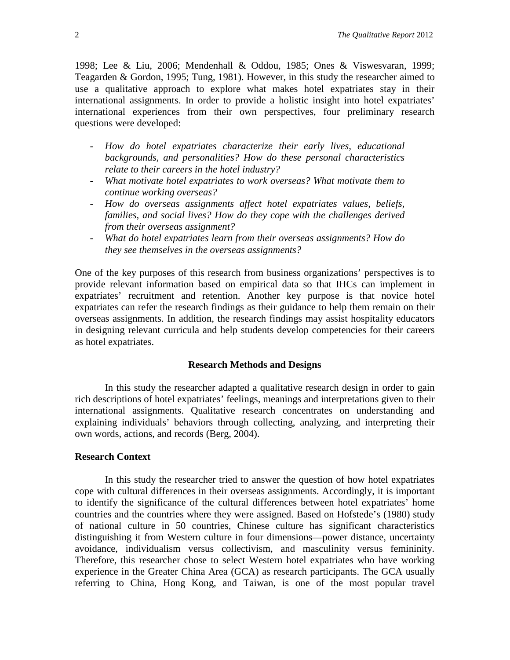1998; Lee & Liu, 2006; Mendenhall & Oddou, 1985; Ones & Viswesvaran, 1999; Teagarden & Gordon, 1995; Tung, 1981). However, in this study the researcher aimed to use a qualitative approach to explore what makes hotel expatriates stay in their international assignments. In order to provide a holistic insight into hotel expatriates' international experiences from their own perspectives, four preliminary research questions were developed:

- *How do hotel expatriates characterize their early lives, educational backgrounds, and personalities? How do these personal characteristics relate to their careers in the hotel industry?*
- *What motivate hotel expatriates to work overseas? What motivate them to continue working overseas?*
- *How do overseas assignments affect hotel expatriates values, beliefs, families, and social lives? How do they cope with the challenges derived from their overseas assignment?*
- *What do hotel expatriates learn from their overseas assignments? How do they see themselves in the overseas assignments?*

One of the key purposes of this research from business organizations' perspectives is to provide relevant information based on empirical data so that IHCs can implement in expatriates' recruitment and retention. Another key purpose is that novice hotel expatriates can refer the research findings as their guidance to help them remain on their overseas assignments. In addition, the research findings may assist hospitality educators in designing relevant curricula and help students develop competencies for their careers as hotel expatriates.

## **Research Methods and Designs**

In this study the researcher adapted a qualitative research design in order to gain rich descriptions of hotel expatriates' feelings, meanings and interpretations given to their international assignments. Qualitative research concentrates on understanding and explaining individuals' behaviors through collecting, analyzing, and interpreting their own words, actions, and records (Berg, 2004).

#### **Research Context**

In this study the researcher tried to answer the question of how hotel expatriates cope with cultural differences in their overseas assignments. Accordingly, it is important to identify the significance of the cultural differences between hotel expatriates' home countries and the countries where they were assigned. Based on Hofstede's (1980) study of national culture in 50 countries, Chinese culture has significant characteristics distinguishing it from Western culture in four dimensions—power distance, uncertainty avoidance, individualism versus collectivism, and masculinity versus femininity. Therefore, this researcher chose to select Western hotel expatriates who have working experience in the Greater China Area (GCA) as research participants. The GCA usually referring to China, Hong Kong, and Taiwan, is one of the most popular travel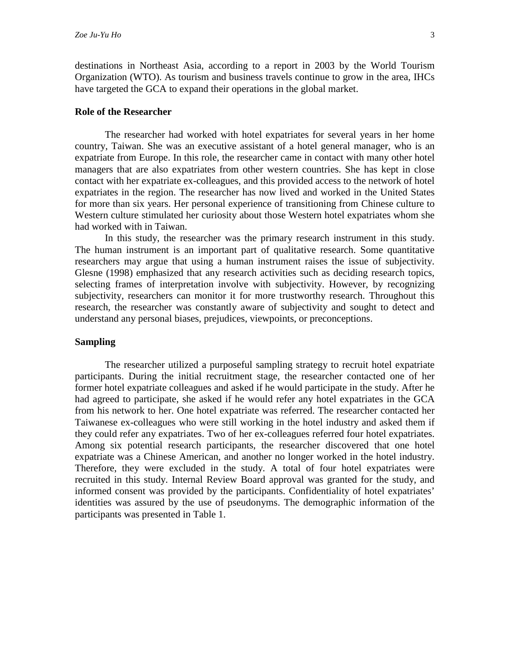destinations in Northeast Asia, according to a report in 2003 by the World Tourism Organization (WTO). As tourism and business travels continue to grow in the area, IHCs have targeted the GCA to expand their operations in the global market.

#### **Role of the Researcher**

The researcher had worked with hotel expatriates for several years in her home country, Taiwan. She was an executive assistant of a hotel general manager, who is an expatriate from Europe. In this role, the researcher came in contact with many other hotel managers that are also expatriates from other western countries. She has kept in close contact with her expatriate ex-colleagues, and this provided access to the network of hotel expatriates in the region. The researcher has now lived and worked in the United States for more than six years. Her personal experience of transitioning from Chinese culture to Western culture stimulated her curiosity about those Western hotel expatriates whom she had worked with in Taiwan.

In this study, the researcher was the primary research instrument in this study. The human instrument is an important part of qualitative research. Some quantitative researchers may argue that using a human instrument raises the issue of subjectivity. Glesne (1998) emphasized that any research activities such as deciding research topics, selecting frames of interpretation involve with subjectivity. However, by recognizing subjectivity, researchers can monitor it for more trustworthy research. Throughout this research, the researcher was constantly aware of subjectivity and sought to detect and understand any personal biases, prejudices, viewpoints, or preconceptions.

## **Sampling**

The researcher utilized a purposeful sampling strategy to recruit hotel expatriate participants. During the initial recruitment stage, the researcher contacted one of her former hotel expatriate colleagues and asked if he would participate in the study. After he had agreed to participate, she asked if he would refer any hotel expatriates in the GCA from his network to her. One hotel expatriate was referred. The researcher contacted her Taiwanese ex-colleagues who were still working in the hotel industry and asked them if they could refer any expatriates. Two of her ex-colleagues referred four hotel expatriates. Among six potential research participants, the researcher discovered that one hotel expatriate was a Chinese American, and another no longer worked in the hotel industry. Therefore, they were excluded in the study. A total of four hotel expatriates were recruited in this study. Internal Review Board approval was granted for the study, and informed consent was provided by the participants. Confidentiality of hotel expatriates' identities was assured by the use of pseudonyms. The demographic information of the participants was presented in Table 1.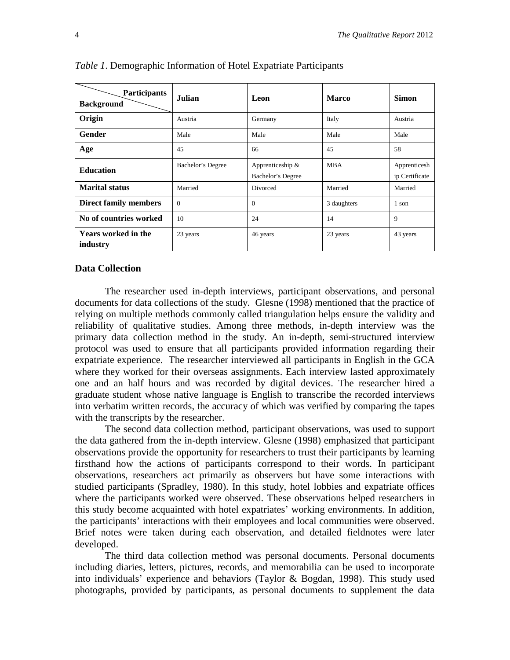| <b>Participants</b><br><b>Background</b> | Julian            | Leon                                  | <b>Marco</b> | <b>Simon</b>                   |
|------------------------------------------|-------------------|---------------------------------------|--------------|--------------------------------|
| Origin                                   | Austria           | Germany                               | Italy        | Austria                        |
| Gender                                   | Male              | Male                                  | Male         | Male                           |
| Age                                      | 45                | 66                                    | 45           | 58                             |
| <b>Education</b>                         | Bachelor's Degree | Apprenticeship &<br>Bachelor's Degree | <b>MBA</b>   | Apprenticesh<br>ip Certificate |
| <b>Marital status</b>                    | Married           | Divorced                              | Married      | Married                        |
| <b>Direct family members</b>             | $\Omega$          | $\Omega$                              | 3 daughters  | 1 son                          |
| No of countries worked                   | 10                | 24                                    | 14           | 9                              |
| <b>Years worked in the</b><br>industry   | 23 years          | 46 years                              | 23 years     | 43 years                       |

*Table 1*. Demographic Information of Hotel Expatriate Participants

#### **Data Collection**

The researcher used in-depth interviews, participant observations, and personal documents for data collections of the study. Glesne (1998) mentioned that the practice of relying on multiple methods commonly called triangulation helps ensure the validity and reliability of qualitative studies. Among three methods, in-depth interview was the primary data collection method in the study. An in-depth, semi-structured interview protocol was used to ensure that all participants provided information regarding their expatriate experience. The researcher interviewed all participants in English in the GCA where they worked for their overseas assignments. Each interview lasted approximately one and an half hours and was recorded by digital devices. The researcher hired a graduate student whose native language is English to transcribe the recorded interviews into verbatim written records, the accuracy of which was verified by comparing the tapes with the transcripts by the researcher.

The second data collection method, participant observations, was used to support the data gathered from the in-depth interview. Glesne (1998) emphasized that participant observations provide the opportunity for researchers to trust their participants by learning firsthand how the actions of participants correspond to their words. In participant observations, researchers act primarily as observers but have some interactions with studied participants (Spradley, 1980). In this study, hotel lobbies and expatriate offices where the participants worked were observed. These observations helped researchers in this study become acquainted with hotel expatriates' working environments. In addition, the participants' interactions with their employees and local communities were observed. Brief notes were taken during each observation, and detailed fieldnotes were later developed.

The third data collection method was personal documents. Personal documents including diaries, letters, pictures, records, and memorabilia can be used to incorporate into individuals' experience and behaviors (Taylor & Bogdan, 1998). This study used photographs, provided by participants, as personal documents to supplement the data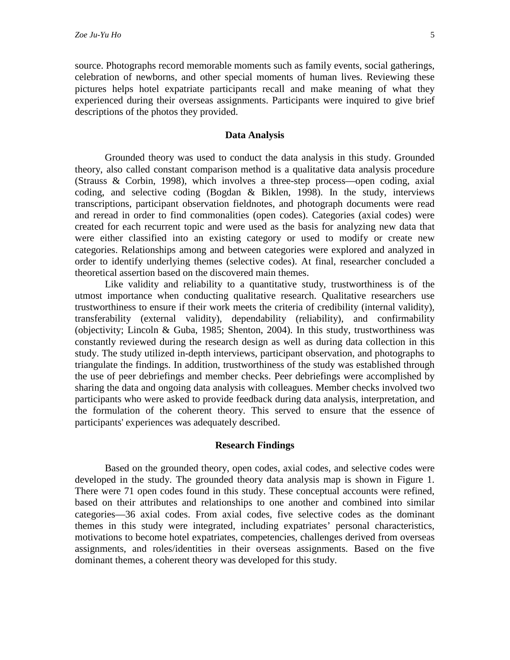source. Photographs record memorable moments such as family events, social gatherings, celebration of newborns, and other special moments of human lives. Reviewing these pictures helps hotel expatriate participants recall and make meaning of what they experienced during their overseas assignments. Participants were inquired to give brief descriptions of the photos they provided.

## **Data Analysis**

Grounded theory was used to conduct the data analysis in this study. Grounded theory, also called constant comparison method is a qualitative data analysis procedure (Strauss & Corbin, 1998), which involves a three-step process—open coding, axial coding, and selective coding (Bogdan & Biklen, 1998). In the study, interviews transcriptions, participant observation fieldnotes, and photograph documents were read and reread in order to find commonalities (open codes). Categories (axial codes) were created for each recurrent topic and were used as the basis for analyzing new data that were either classified into an existing category or used to modify or create new categories. Relationships among and between categories were explored and analyzed in order to identify underlying themes (selective codes). At final, researcher concluded a theoretical assertion based on the discovered main themes.

Like validity and reliability to a quantitative study, trustworthiness is of the utmost importance when conducting qualitative research. Qualitative researchers use trustworthiness to ensure if their work meets the criteria of credibility (internal validity), transferability (external validity), dependability (reliability), and confirmability (objectivity; Lincoln & Guba, 1985; Shenton, 2004). In this study, trustworthiness was constantly reviewed during the research design as well as during data collection in this study. The study utilized in-depth interviews, participant observation, and photographs to triangulate the findings. In addition, trustworthiness of the study was established through the use of peer debriefings and member checks. Peer debriefings were accomplished by sharing the data and ongoing data analysis with colleagues. Member checks involved two participants who were asked to provide feedback during data analysis, interpretation, and the formulation of the coherent theory. This served to ensure that the essence of participants' experiences was adequately described.

#### **Research Findings**

Based on the grounded theory, open codes, axial codes, and selective codes were developed in the study. The grounded theory data analysis map is shown in Figure 1. There were 71 open codes found in this study. These conceptual accounts were refined, based on their attributes and relationships to one another and combined into similar categories—36 axial codes. From axial codes, five selective codes as the dominant themes in this study were integrated, including expatriates' personal characteristics, motivations to become hotel expatriates, competencies, challenges derived from overseas assignments, and roles/identities in their overseas assignments. Based on the five dominant themes, a coherent theory was developed for this study.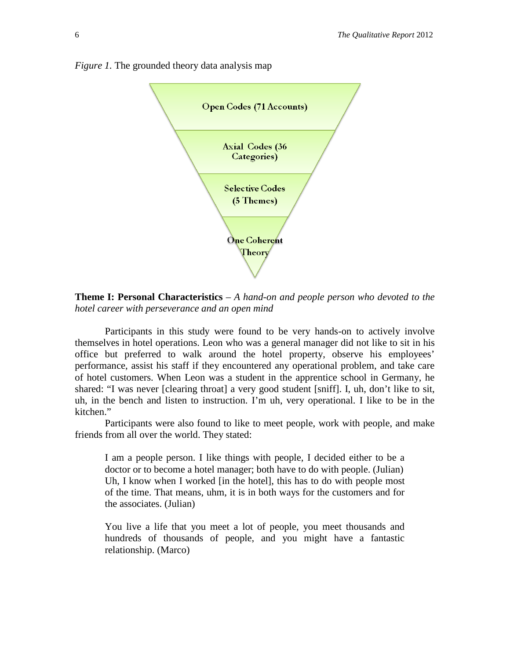

*Figure 1.* The grounded theory data analysis map

**Theme I: Personal Characteristics** *– A hand-on and people person who devoted to the hotel career with perseverance and an open mind*

Participants in this study were found to be very hands-on to actively involve themselves in hotel operations. Leon who was a general manager did not like to sit in his office but preferred to walk around the hotel property, observe his employees' performance, assist his staff if they encountered any operational problem, and take care of hotel customers. When Leon was a student in the apprentice school in Germany, he shared: "I was never [clearing throat] a very good student [sniff]. I, uh, don't like to sit, uh, in the bench and listen to instruction. I'm uh, very operational. I like to be in the kitchen."

Participants were also found to like to meet people, work with people, and make friends from all over the world. They stated:

I am a people person. I like things with people, I decided either to be a doctor or to become a hotel manager; both have to do with people. (Julian) Uh, I know when I worked [in the hotel], this has to do with people most of the time. That means, uhm, it is in both ways for the customers and for the associates. (Julian)

You live a life that you meet a lot of people, you meet thousands and hundreds of thousands of people, and you might have a fantastic relationship. (Marco)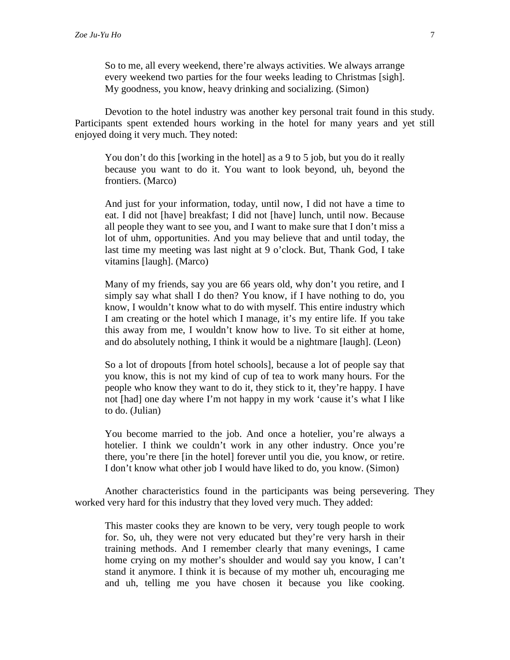So to me, all every weekend, there're always activities. We always arrange every weekend two parties for the four weeks leading to Christmas [sigh]. My goodness, you know, heavy drinking and socializing. (Simon)

Devotion to the hotel industry was another key personal trait found in this study. Participants spent extended hours working in the hotel for many years and yet still enjoyed doing it very much. They noted:

You don't do this [working in the hotel] as a 9 to 5 job, but you do it really because you want to do it. You want to look beyond, uh, beyond the frontiers. (Marco)

And just for your information, today, until now, I did not have a time to eat. I did not [have] breakfast; I did not [have] lunch, until now. Because all people they want to see you, and I want to make sure that I don't miss a lot of uhm, opportunities. And you may believe that and until today, the last time my meeting was last night at 9 o'clock. But, Thank God, I take vitamins [laugh]. (Marco)

Many of my friends, say you are 66 years old, why don't you retire, and I simply say what shall I do then? You know, if I have nothing to do, you know, I wouldn't know what to do with myself. This entire industry which I am creating or the hotel which I manage, it's my entire life. If you take this away from me, I wouldn't know how to live. To sit either at home, and do absolutely nothing, I think it would be a nightmare [laugh]. (Leon)

So a lot of dropouts [from hotel schools], because a lot of people say that you know, this is not my kind of cup of tea to work many hours. For the people who know they want to do it, they stick to it, they're happy. I have not [had] one day where I'm not happy in my work 'cause it's what I like to do. (Julian)

You become married to the job. And once a hotelier, you're always a hotelier. I think we couldn't work in any other industry. Once you're there, you're there [in the hotel] forever until you die, you know, or retire. I don't know what other job I would have liked to do, you know. (Simon)

Another characteristics found in the participants was being persevering. They worked very hard for this industry that they loved very much. They added:

This master cooks they are known to be very, very tough people to work for. So, uh, they were not very educated but they're very harsh in their training methods. And I remember clearly that many evenings, I came home crying on my mother's shoulder and would say you know, I can't stand it anymore. I think it is because of my mother uh, encouraging me and uh, telling me you have chosen it because you like cooking.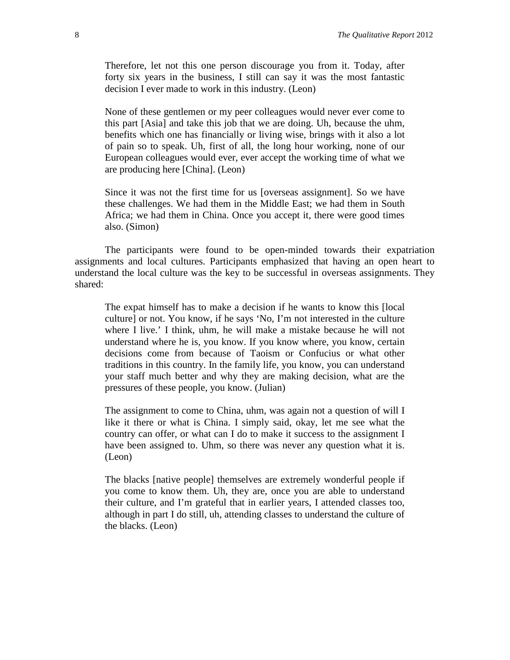Therefore, let not this one person discourage you from it. Today, after forty six years in the business, I still can say it was the most fantastic decision I ever made to work in this industry. (Leon)

None of these gentlemen or my peer colleagues would never ever come to this part [Asia] and take this job that we are doing. Uh, because the uhm, benefits which one has financially or living wise, brings with it also a lot of pain so to speak. Uh, first of all, the long hour working, none of our European colleagues would ever, ever accept the working time of what we are producing here [China]. (Leon)

Since it was not the first time for us [overseas assignment]. So we have these challenges. We had them in the Middle East; we had them in South Africa; we had them in China. Once you accept it, there were good times also. (Simon)

The participants were found to be open-minded towards their expatriation assignments and local cultures. Participants emphasized that having an open heart to understand the local culture was the key to be successful in overseas assignments. They shared:

The expat himself has to make a decision if he wants to know this [local culture] or not. You know, if he says 'No, I'm not interested in the culture where I live.' I think, uhm, he will make a mistake because he will not understand where he is, you know. If you know where, you know, certain decisions come from because of Taoism or Confucius or what other traditions in this country. In the family life, you know, you can understand your staff much better and why they are making decision, what are the pressures of these people, you know. (Julian)

The assignment to come to China, uhm, was again not a question of will I like it there or what is China. I simply said, okay, let me see what the country can offer, or what can I do to make it success to the assignment I have been assigned to. Uhm, so there was never any question what it is. (Leon)

The blacks [native people] themselves are extremely wonderful people if you come to know them. Uh, they are, once you are able to understand their culture, and I'm grateful that in earlier years, I attended classes too, although in part I do still, uh, attending classes to understand the culture of the blacks. (Leon)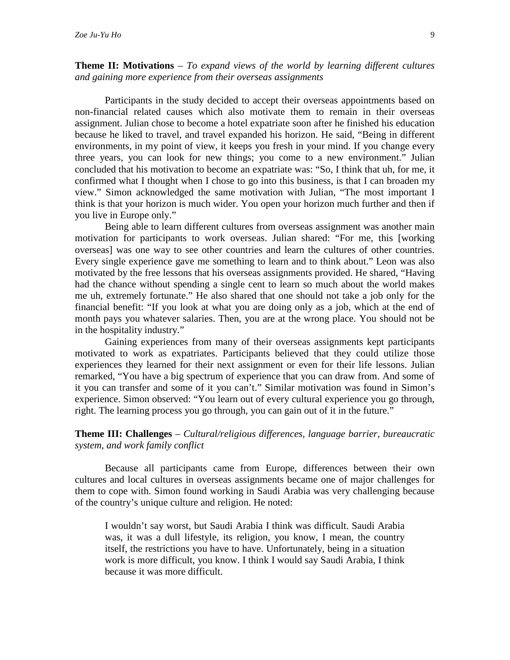## **Theme II: Motivations** *– To expand views of the world by learning different cultures and gaining more experience from their overseas assignments*

Participants in the study decided to accept their overseas appointments based on non-financial related causes which also motivate them to remain in their overseas assignment. Julian chose to become a hotel expatriate soon after he finished his education because he liked to travel, and travel expanded his horizon. He said, "Being in different environments, in my point of view, it keeps you fresh in your mind. If you change every three years, you can look for new things; you come to a new environment." Julian concluded that his motivation to become an expatriate was: "So, I think that uh, for me, it confirmed what I thought when I chose to go into this business, is that I can broaden my view." Simon acknowledged the same motivation with Julian, "The most important I think is that your horizon is much wider. You open your horizon much further and then if you live in Europe only."

Being able to learn different cultures from overseas assignment was another main motivation for participants to work overseas. Julian shared: "For me, this [working overseas] was one way to see other countries and learn the cultures of other countries. Every single experience gave me something to learn and to think about." Leon was also motivated by the free lessons that his overseas assignments provided. He shared, "Having had the chance without spending a single cent to learn so much about the world makes me uh, extremely fortunate." He also shared that one should not take a job only for the financial benefit: "If you look at what you are doing only as a job, which at the end of month pays you whatever salaries. Then, you are at the wrong place. You should not be in the hospitality industry."

Gaining experiences from many of their overseas assignments kept participants motivated to work as expatriates. Participants believed that they could utilize those experiences they learned for their next assignment or even for their life lessons. Julian remarked, "You have a big spectrum of experience that you can draw from. And some of it you can transfer and some of it you can't." Similar motivation was found in Simon's experience. Simon observed: "You learn out of every cultural experience you go through, right. The learning process you go through, you can gain out of it in the future."

## **Theme III: Challenges** *– Cultural/religious differences, language barrier, bureaucratic system, and work family conflict*

Because all participants came from Europe, differences between their own cultures and local cultures in overseas assignments became one of major challenges for them to cope with. Simon found working in Saudi Arabia was very challenging because of the country's unique culture and religion. He noted:

I wouldn't say worst, but Saudi Arabia I think was difficult. Saudi Arabia was, it was a dull lifestyle, its religion, you know, I mean, the country itself, the restrictions you have to have. Unfortunately, being in a situation work is more difficult, you know. I think I would say Saudi Arabia, I think because it was more difficult.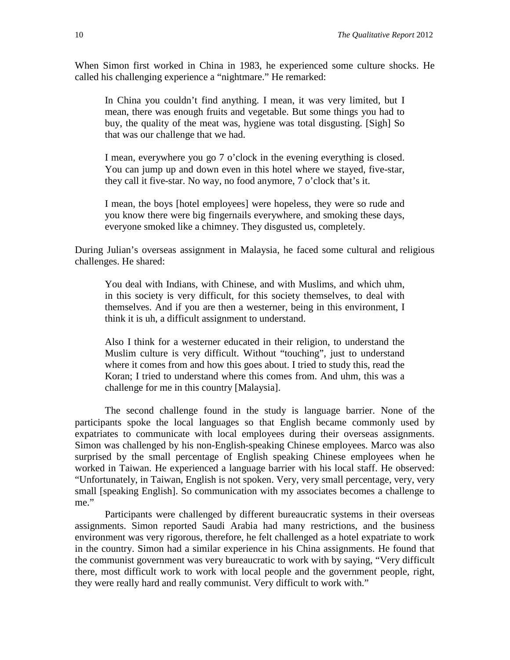When Simon first worked in China in 1983, he experienced some culture shocks. He called his challenging experience a "nightmare." He remarked:

In China you couldn't find anything. I mean, it was very limited, but I mean, there was enough fruits and vegetable. But some things you had to buy, the quality of the meat was, hygiene was total disgusting. [Sigh] So that was our challenge that we had.

I mean, everywhere you go 7 o'clock in the evening everything is closed. You can jump up and down even in this hotel where we stayed, five-star, they call it five-star. No way, no food anymore, 7 o'clock that's it.

I mean, the boys [hotel employees] were hopeless, they were so rude and you know there were big fingernails everywhere, and smoking these days, everyone smoked like a chimney. They disgusted us, completely.

During Julian's overseas assignment in Malaysia, he faced some cultural and religious challenges. He shared:

You deal with Indians, with Chinese, and with Muslims, and which uhm, in this society is very difficult, for this society themselves, to deal with themselves. And if you are then a westerner, being in this environment, I think it is uh, a difficult assignment to understand.

Also I think for a westerner educated in their religion, to understand the Muslim culture is very difficult. Without "touching", just to understand where it comes from and how this goes about. I tried to study this, read the Koran; I tried to understand where this comes from. And uhm, this was a challenge for me in this country [Malaysia].

The second challenge found in the study is language barrier. None of the participants spoke the local languages so that English became commonly used by expatriates to communicate with local employees during their overseas assignments. Simon was challenged by his non-English-speaking Chinese employees. Marco was also surprised by the small percentage of English speaking Chinese employees when he worked in Taiwan. He experienced a language barrier with his local staff. He observed: "Unfortunately, in Taiwan, English is not spoken. Very, very small percentage, very, very small [speaking English]. So communication with my associates becomes a challenge to me."

Participants were challenged by different bureaucratic systems in their overseas assignments. Simon reported Saudi Arabia had many restrictions, and the business environment was very rigorous, therefore, he felt challenged as a hotel expatriate to work in the country. Simon had a similar experience in his China assignments. He found that the communist government was very bureaucratic to work with by saying, "Very difficult there, most difficult work to work with local people and the government people, right, they were really hard and really communist. Very difficult to work with."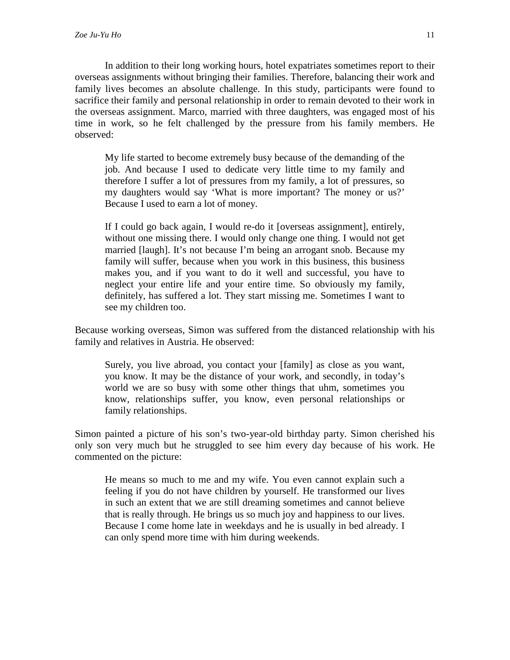In addition to their long working hours, hotel expatriates sometimes report to their overseas assignments without bringing their families. Therefore, balancing their work and family lives becomes an absolute challenge. In this study, participants were found to sacrifice their family and personal relationship in order to remain devoted to their work in the overseas assignment. Marco, married with three daughters, was engaged most of his time in work, so he felt challenged by the pressure from his family members. He observed:

My life started to become extremely busy because of the demanding of the job. And because I used to dedicate very little time to my family and therefore I suffer a lot of pressures from my family, a lot of pressures, so my daughters would say 'What is more important? The money or us?' Because I used to earn a lot of money.

If I could go back again, I would re-do it [overseas assignment], entirely, without one missing there. I would only change one thing. I would not get married [laugh]. It's not because I'm being an arrogant snob. Because my family will suffer, because when you work in this business, this business makes you, and if you want to do it well and successful, you have to neglect your entire life and your entire time. So obviously my family, definitely, has suffered a lot. They start missing me. Sometimes I want to see my children too.

Because working overseas, Simon was suffered from the distanced relationship with his family and relatives in Austria. He observed:

Surely, you live abroad, you contact your [family] as close as you want, you know. It may be the distance of your work, and secondly, in today's world we are so busy with some other things that uhm, sometimes you know, relationships suffer, you know, even personal relationships or family relationships.

Simon painted a picture of his son's two-year-old birthday party. Simon cherished his only son very much but he struggled to see him every day because of his work. He commented on the picture:

He means so much to me and my wife. You even cannot explain such a feeling if you do not have children by yourself. He transformed our lives in such an extent that we are still dreaming sometimes and cannot believe that is really through. He brings us so much joy and happiness to our lives. Because I come home late in weekdays and he is usually in bed already. I can only spend more time with him during weekends.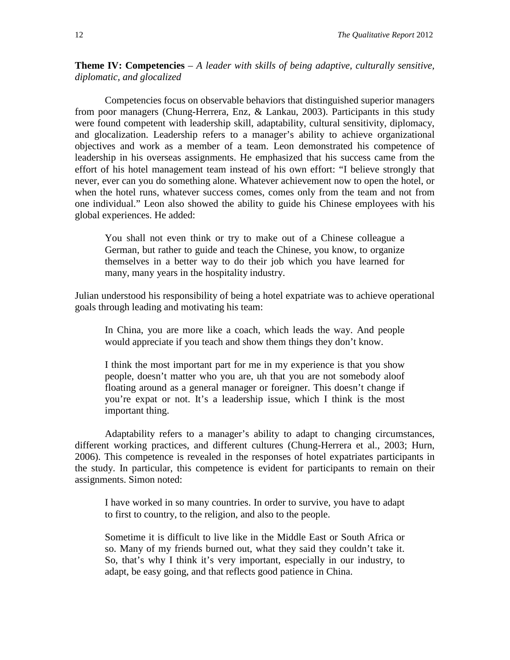**Theme IV: Competencies** *– A leader with skills of being adaptive, culturally sensitive, diplomatic, and glocalized*

Competencies focus on observable behaviors that distinguished superior managers from poor managers (Chung-Herrera, Enz, & Lankau, 2003). Participants in this study were found competent with leadership skill, adaptability, cultural sensitivity, diplomacy, and glocalization. Leadership refers to a manager's ability to achieve organizational objectives and work as a member of a team. Leon demonstrated his competence of leadership in his overseas assignments. He emphasized that his success came from the effort of his hotel management team instead of his own effort: "I believe strongly that never, ever can you do something alone. Whatever achievement now to open the hotel, or when the hotel runs, whatever success comes, comes only from the team and not from one individual." Leon also showed the ability to guide his Chinese employees with his global experiences. He added:

You shall not even think or try to make out of a Chinese colleague a German, but rather to guide and teach the Chinese, you know, to organize themselves in a better way to do their job which you have learned for many, many years in the hospitality industry.

Julian understood his responsibility of being a hotel expatriate was to achieve operational goals through leading and motivating his team:

In China, you are more like a coach, which leads the way. And people would appreciate if you teach and show them things they don't know.

I think the most important part for me in my experience is that you show people, doesn't matter who you are, uh that you are not somebody aloof floating around as a general manager or foreigner. This doesn't change if you're expat or not. It's a leadership issue, which I think is the most important thing.

Adaptability refers to a manager's ability to adapt to changing circumstances, different working practices, and different cultures (Chung-Herrera et al., 2003; Hurn, 2006). This competence is revealed in the responses of hotel expatriates participants in the study. In particular, this competence is evident for participants to remain on their assignments. Simon noted:

I have worked in so many countries. In order to survive, you have to adapt to first to country, to the religion, and also to the people.

Sometime it is difficult to live like in the Middle East or South Africa or so. Many of my friends burned out, what they said they couldn't take it. So, that's why I think it's very important, especially in our industry, to adapt, be easy going, and that reflects good patience in China.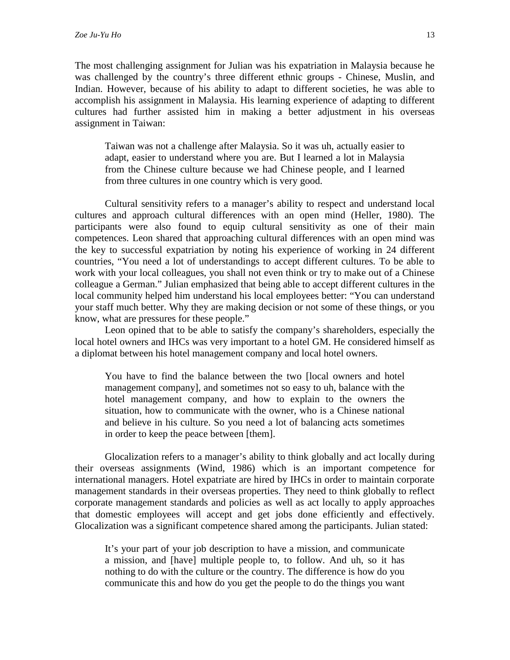The most challenging assignment for Julian was his expatriation in Malaysia because he was challenged by the country's three different ethnic groups - Chinese, Muslin, and Indian. However, because of his ability to adapt to different societies, he was able to accomplish his assignment in Malaysia. His learning experience of adapting to different cultures had further assisted him in making a better adjustment in his overseas assignment in Taiwan:

Taiwan was not a challenge after Malaysia. So it was uh, actually easier to adapt, easier to understand where you are. But I learned a lot in Malaysia from the Chinese culture because we had Chinese people, and I learned from three cultures in one country which is very good.

Cultural sensitivity refers to a manager's ability to respect and understand local cultures and approach cultural differences with an open mind (Heller, 1980). The participants were also found to equip cultural sensitivity as one of their main competences. Leon shared that approaching cultural differences with an open mind was the key to successful expatriation by noting his experience of working in 24 different countries, "You need a lot of understandings to accept different cultures. To be able to work with your local colleagues, you shall not even think or try to make out of a Chinese colleague a German." Julian emphasized that being able to accept different cultures in the local community helped him understand his local employees better: "You can understand your staff much better. Why they are making decision or not some of these things, or you know, what are pressures for these people."

Leon opined that to be able to satisfy the company's shareholders, especially the local hotel owners and IHCs was very important to a hotel GM. He considered himself as a diplomat between his hotel management company and local hotel owners.

You have to find the balance between the two [local owners and hotel management company], and sometimes not so easy to uh, balance with the hotel management company, and how to explain to the owners the situation, how to communicate with the owner, who is a Chinese national and believe in his culture. So you need a lot of balancing acts sometimes in order to keep the peace between [them].

Glocalization refers to a manager's ability to think globally and act locally during their overseas assignments (Wind, 1986) which is an important competence for international managers. Hotel expatriate are hired by IHCs in order to maintain corporate management standards in their overseas properties. They need to think globally to reflect corporate management standards and policies as well as act locally to apply approaches that domestic employees will accept and get jobs done efficiently and effectively. Glocalization was a significant competence shared among the participants. Julian stated:

It's your part of your job description to have a mission, and communicate a mission, and [have] multiple people to, to follow. And uh, so it has nothing to do with the culture or the country. The difference is how do you communicate this and how do you get the people to do the things you want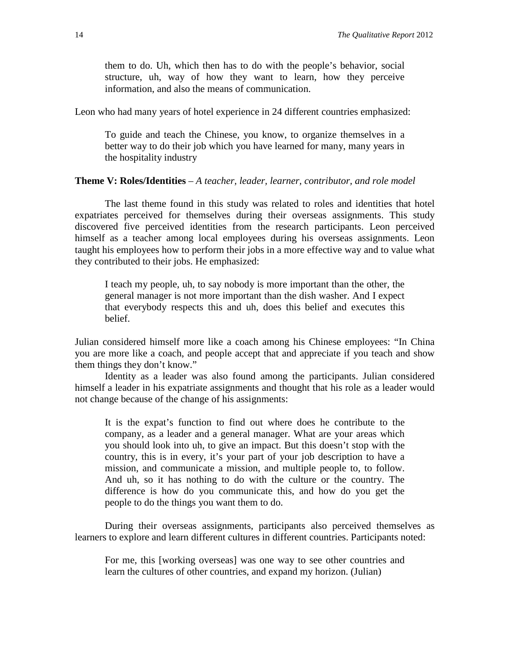them to do. Uh, which then has to do with the people's behavior, social structure, uh, way of how they want to learn, how they perceive information, and also the means of communication.

Leon who had many years of hotel experience in 24 different countries emphasized:

To guide and teach the Chinese, you know, to organize themselves in a better way to do their job which you have learned for many, many years in the hospitality industry

## **Theme V: Roles/Identities** *– A teacher, leader, learner, contributor, and role model*

The last theme found in this study was related to roles and identities that hotel expatriates perceived for themselves during their overseas assignments. This study discovered five perceived identities from the research participants. Leon perceived himself as a teacher among local employees during his overseas assignments. Leon taught his employees how to perform their jobs in a more effective way and to value what they contributed to their jobs. He emphasized:

I teach my people, uh, to say nobody is more important than the other, the general manager is not more important than the dish washer. And I expect that everybody respects this and uh, does this belief and executes this belief.

Julian considered himself more like a coach among his Chinese employees: "In China you are more like a coach, and people accept that and appreciate if you teach and show them things they don't know."

Identity as a leader was also found among the participants. Julian considered himself a leader in his expatriate assignments and thought that his role as a leader would not change because of the change of his assignments:

It is the expat's function to find out where does he contribute to the company, as a leader and a general manager. What are your areas which you should look into uh, to give an impact. But this doesn't stop with the country, this is in every, it's your part of your job description to have a mission, and communicate a mission, and multiple people to, to follow. And uh, so it has nothing to do with the culture or the country. The difference is how do you communicate this, and how do you get the people to do the things you want them to do.

During their overseas assignments, participants also perceived themselves as learners to explore and learn different cultures in different countries. Participants noted:

For me, this [working overseas] was one way to see other countries and learn the cultures of other countries, and expand my horizon. (Julian)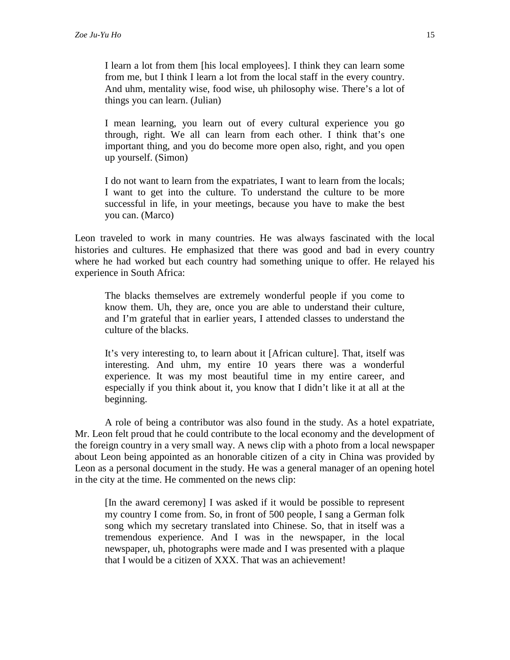I learn a lot from them [his local employees]. I think they can learn some from me, but I think I learn a lot from the local staff in the every country. And uhm, mentality wise, food wise, uh philosophy wise. There's a lot of things you can learn. (Julian)

I mean learning, you learn out of every cultural experience you go through, right. We all can learn from each other. I think that's one important thing, and you do become more open also, right, and you open up yourself. (Simon)

I do not want to learn from the expatriates, I want to learn from the locals; I want to get into the culture. To understand the culture to be more successful in life, in your meetings, because you have to make the best you can. (Marco)

Leon traveled to work in many countries. He was always fascinated with the local histories and cultures. He emphasized that there was good and bad in every country where he had worked but each country had something unique to offer. He relayed his experience in South Africa:

The blacks themselves are extremely wonderful people if you come to know them. Uh, they are, once you are able to understand their culture, and I'm grateful that in earlier years, I attended classes to understand the culture of the blacks.

It's very interesting to, to learn about it [African culture]. That, itself was interesting. And uhm, my entire 10 years there was a wonderful experience. It was my most beautiful time in my entire career, and especially if you think about it, you know that I didn't like it at all at the beginning.

A role of being a contributor was also found in the study. As a hotel expatriate, Mr. Leon felt proud that he could contribute to the local economy and the development of the foreign country in a very small way. A news clip with a photo from a local newspaper about Leon being appointed as an honorable citizen of a city in China was provided by Leon as a personal document in the study. He was a general manager of an opening hotel in the city at the time. He commented on the news clip:

[In the award ceremony] I was asked if it would be possible to represent my country I come from. So, in front of 500 people, I sang a German folk song which my secretary translated into Chinese. So, that in itself was a tremendous experience. And I was in the newspaper, in the local newspaper, uh, photographs were made and I was presented with a plaque that I would be a citizen of XXX. That was an achievement!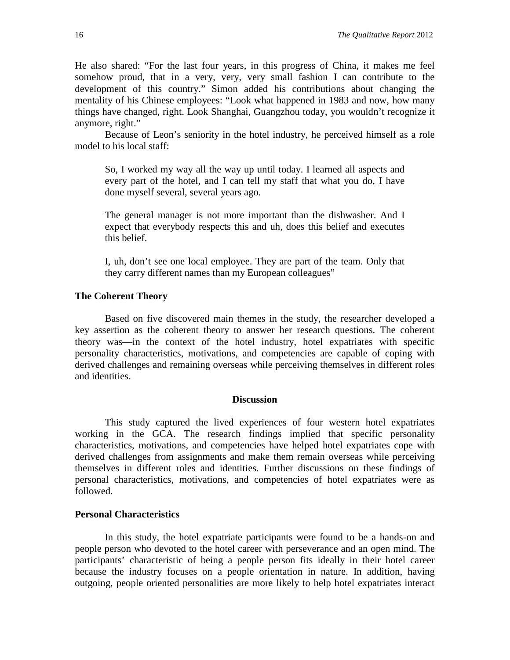He also shared: "For the last four years, in this progress of China, it makes me feel somehow proud, that in a very, very, very small fashion I can contribute to the development of this country." Simon added his contributions about changing the mentality of his Chinese employees: "Look what happened in 1983 and now, how many things have changed, right. Look Shanghai, Guangzhou today, you wouldn't recognize it anymore, right."

Because of Leon's seniority in the hotel industry, he perceived himself as a role model to his local staff:

So, I worked my way all the way up until today. I learned all aspects and every part of the hotel, and I can tell my staff that what you do, I have done myself several, several years ago.

The general manager is not more important than the dishwasher. And I expect that everybody respects this and uh, does this belief and executes this belief.

I, uh, don't see one local employee. They are part of the team. Only that they carry different names than my European colleagues"

#### **The Coherent Theory**

Based on five discovered main themes in the study, the researcher developed a key assertion as the coherent theory to answer her research questions. The coherent theory was—in the context of the hotel industry, hotel expatriates with specific personality characteristics, motivations, and competencies are capable of coping with derived challenges and remaining overseas while perceiving themselves in different roles and identities.

## **Discussion**

This study captured the lived experiences of four western hotel expatriates working in the GCA. The research findings implied that specific personality characteristics, motivations, and competencies have helped hotel expatriates cope with derived challenges from assignments and make them remain overseas while perceiving themselves in different roles and identities. Further discussions on these findings of personal characteristics, motivations, and competencies of hotel expatriates were as followed.

## **Personal Characteristics**

In this study, the hotel expatriate participants were found to be a hands-on and people person who devoted to the hotel career with perseverance and an open mind. The participants' characteristic of being a people person fits ideally in their hotel career because the industry focuses on a people orientation in nature. In addition, having outgoing, people oriented personalities are more likely to help hotel expatriates interact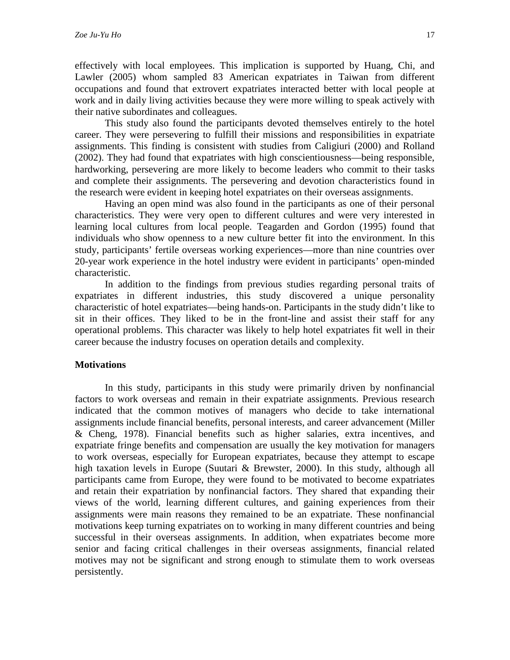effectively with local employees. This implication is supported by Huang, Chi, and Lawler (2005) whom sampled 83 American expatriates in Taiwan from different occupations and found that extrovert expatriates interacted better with local people at work and in daily living activities because they were more willing to speak actively with their native subordinates and colleagues.

This study also found the participants devoted themselves entirely to the hotel career. They were persevering to fulfill their missions and responsibilities in expatriate assignments. This finding is consistent with studies from Caligiuri (2000) and Rolland (2002). They had found that expatriates with high conscientiousness—being responsible, hardworking, persevering are more likely to become leaders who commit to their tasks and complete their assignments. The persevering and devotion characteristics found in the research were evident in keeping hotel expatriates on their overseas assignments.

Having an open mind was also found in the participants as one of their personal characteristics. They were very open to different cultures and were very interested in learning local cultures from local people. Teagarden and Gordon (1995) found that individuals who show openness to a new culture better fit into the environment. In this study, participants' fertile overseas working experiences—more than nine countries over 20-year work experience in the hotel industry were evident in participants' open-minded characteristic.

In addition to the findings from previous studies regarding personal traits of expatriates in different industries, this study discovered a unique personality characteristic of hotel expatriates—being hands-on. Participants in the study didn't like to sit in their offices. They liked to be in the front-line and assist their staff for any operational problems. This character was likely to help hotel expatriates fit well in their career because the industry focuses on operation details and complexity.

## **Motivations**

In this study, participants in this study were primarily driven by nonfinancial factors to work overseas and remain in their expatriate assignments. Previous research indicated that the common motives of managers who decide to take international assignments include financial benefits, personal interests, and career advancement (Miller & Cheng, 1978). Financial benefits such as higher salaries, extra incentives, and expatriate fringe benefits and compensation are usually the key motivation for managers to work overseas, especially for European expatriates, because they attempt to escape high taxation levels in Europe (Suutari & Brewster, 2000). In this study, although all participants came from Europe, they were found to be motivated to become expatriates and retain their expatriation by nonfinancial factors. They shared that expanding their views of the world, learning different cultures, and gaining experiences from their assignments were main reasons they remained to be an expatriate. These nonfinancial motivations keep turning expatriates on to working in many different countries and being successful in their overseas assignments. In addition, when expatriates become more senior and facing critical challenges in their overseas assignments, financial related motives may not be significant and strong enough to stimulate them to work overseas persistently.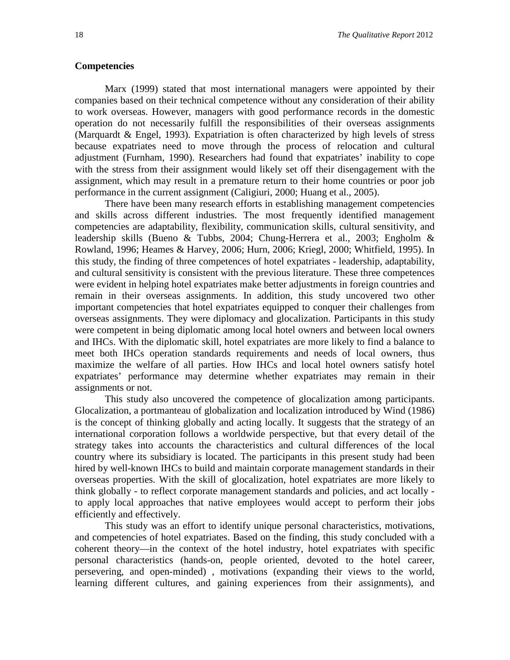## **Competencies**

Marx (1999) stated that most international managers were appointed by their companies based on their technical competence without any consideration of their ability to work overseas. However, managers with good performance records in the domestic operation do not necessarily fulfill the responsibilities of their overseas assignments (Marquardt & Engel, 1993). Expatriation is often characterized by high levels of stress because expatriates need to move through the process of relocation and cultural adjustment (Furnham, 1990). Researchers had found that expatriates' inability to cope with the stress from their assignment would likely set off their disengagement with the assignment, which may result in a premature return to their home countries or poor job performance in the current assignment (Caligiuri, 2000; Huang et al., 2005).

There have been many research efforts in establishing management competencies and skills across different industries. The most frequently identified management competencies are adaptability, flexibility, communication skills, cultural sensitivity, and leadership skills (Bueno & Tubbs, 2004; Chung-Herrera et al., 2003; Engholm & Rowland, 1996; Heames & Harvey, 2006; Hurn, 2006; Kriegl, 2000; Whitfield, 1995). In this study, the finding of three competences of hotel expatriates - leadership, adaptability, and cultural sensitivity is consistent with the previous literature. These three competences were evident in helping hotel expatriates make better adjustments in foreign countries and remain in their overseas assignments. In addition, this study uncovered two other important competencies that hotel expatriates equipped to conquer their challenges from overseas assignments. They were diplomacy and glocalization. Participants in this study were competent in being diplomatic among local hotel owners and between local owners and IHCs. With the diplomatic skill, hotel expatriates are more likely to find a balance to meet both IHCs operation standards requirements and needs of local owners, thus maximize the welfare of all parties. How IHCs and local hotel owners satisfy hotel expatriates' performance may determine whether expatriates may remain in their assignments or not.

This study also uncovered the competence of glocalization among participants. Glocalization, a portmanteau of globalization and localization introduced by Wind (1986) is the concept of thinking globally and acting locally. It suggests that the strategy of an international corporation follows a worldwide perspective, but that every detail of the strategy takes into accounts the characteristics and cultural differences of the local country where its subsidiary is located. The participants in this present study had been hired by well-known IHCs to build and maintain corporate management standards in their overseas properties. With the skill of glocalization, hotel expatriates are more likely to think globally - to reflect corporate management standards and policies, and act locally to apply local approaches that native employees would accept to perform their jobs efficiently and effectively.

This study was an effort to identify unique personal characteristics, motivations, and competencies of hotel expatriates. Based on the finding, this study concluded with a coherent theory—in the context of the hotel industry, hotel expatriates with specific personal characteristics (hands-on, people oriented, devoted to the hotel career, persevering, and open-minded) , motivations (expanding their views to the world, learning different cultures, and gaining experiences from their assignments), and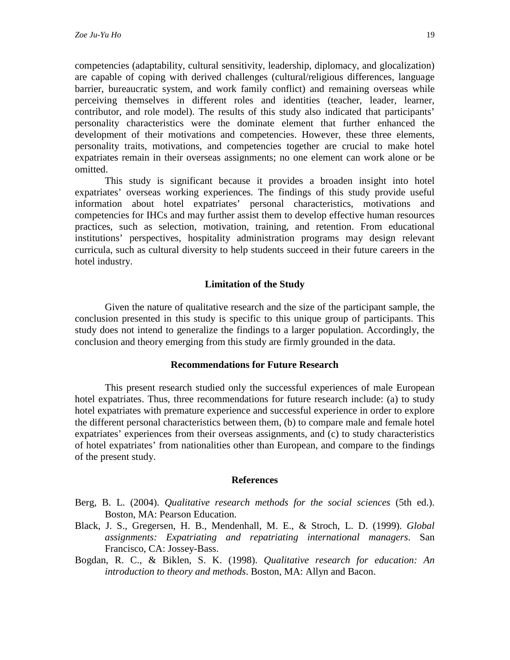competencies (adaptability, cultural sensitivity, leadership, diplomacy, and glocalization) are capable of coping with derived challenges (cultural/religious differences, language barrier, bureaucratic system, and work family conflict) and remaining overseas while perceiving themselves in different roles and identities (teacher, leader, learner, contributor, and role model). The results of this study also indicated that participants' personality characteristics were the dominate element that further enhanced the development of their motivations and competencies. However, these three elements, personality traits, motivations, and competencies together are crucial to make hotel expatriates remain in their overseas assignments; no one element can work alone or be omitted.

This study is significant because it provides a broaden insight into hotel expatriates' overseas working experiences. The findings of this study provide useful information about hotel expatriates' personal characteristics, motivations and competencies for IHCs and may further assist them to develop effective human resources practices, such as selection, motivation, training, and retention. From educational institutions' perspectives, hospitality administration programs may design relevant curricula, such as cultural diversity to help students succeed in their future careers in the hotel industry.

## **Limitation of the Study**

Given the nature of qualitative research and the size of the participant sample, the conclusion presented in this study is specific to this unique group of participants. This study does not intend to generalize the findings to a larger population. Accordingly, the conclusion and theory emerging from this study are firmly grounded in the data.

#### **Recommendations for Future Research**

This present research studied only the successful experiences of male European hotel expatriates. Thus, three recommendations for future research include: (a) to study hotel expatriates with premature experience and successful experience in order to explore the different personal characteristics between them, (b) to compare male and female hotel expatriates' experiences from their overseas assignments, and (c) to study characteristics of hotel expatriates' from nationalities other than European, and compare to the findings of the present study.

#### **References**

- Berg, B. L. (2004). *Qualitative research methods for the social sciences* (5th ed.). Boston, MA: Pearson Education.
- Black, J. S., Gregersen, H. B., Mendenhall, M. E., & Stroch, L. D. (1999). *Global assignments: Expatriating and repatriating international managers*. San Francisco, CA: Jossey-Bass.
- Bogdan, R. C., & Biklen, S. K. (1998). *Qualitative research for education: An introduction to theory and methods*. Boston, MA: Allyn and Bacon.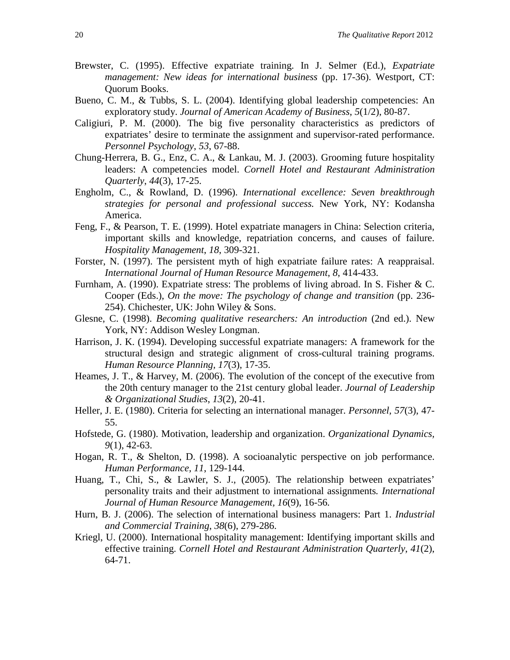- Brewster, C. (1995). Effective expatriate training. In J. Selmer (Ed.), *Expatriate management: New ideas for international business* (pp. 17-36). Westport, CT: Quorum Books.
- Bueno, C. M., & Tubbs, S. L. (2004). Identifying global leadership competencies: An exploratory study. *Journal of American Academy of Business*, *5*(1/2), 80-87.
- Caligiuri, P. M. (2000). The big five personality characteristics as predictors of expatriates' desire to terminate the assignment and supervisor-rated performance. *Personnel Psychology*, *53*, 67-88.
- Chung-Herrera, B. G., Enz, C. A., & Lankau, M. J. (2003). Grooming future hospitality leaders: A competencies model. *Cornell Hotel and Restaurant Administration Quarterly*, *44*(3), 17-25.
- Engholm, C., & Rowland, D. (1996). *International excellence: Seven breakthrough strategies for personal and professional success.* New York, NY: Kodansha America.
- Feng, F., & Pearson, T. E. (1999). Hotel expatriate managers in China: Selection criteria, important skills and knowledge, repatriation concerns, and causes of failure. *Hospitality Management*, *18*, 309-321.
- Forster, N. (1997). The persistent myth of high expatriate failure rates: A reappraisal. *International Journal of Human Resource Management*, *8*, 414-433.
- Furnham, A. (1990). Expatriate stress: The problems of living abroad. In S. Fisher & C. Cooper (Eds.), *On the move: The psychology of change and transition* (pp. 236- 254). Chichester, UK: John Wiley & Sons.
- Glesne, C. (1998). *Becoming qualitative researchers: An introduction* (2nd ed.). New York, NY: Addison Wesley Longman.
- Harrison, J. K. (1994). Developing successful expatriate managers: A framework for the structural design and strategic alignment of cross-cultural training programs. *Human Resource Planning, 17*(3), 17-35.
- Heames, J. T., & Harvey, M. (2006). The evolution of the concept of the executive from the 20th century manager to the 21st century global leader. *Journal of Leadership & Organizational Studies*, *13*(2), 20-41.
- Heller, J. E. (1980). Criteria for selecting an international manager. *Personnel, 57*(3), 47- 55.
- Hofstede, G. (1980). Motivation, leadership and organization. *Organizational Dynamics, 9*(1), 42-63.
- Hogan, R. T., & Shelton, D. (1998). A socioanalytic perspective on job performance. *Human Performance, 11*, 129-144.
- Huang, T., Chi, S., & Lawler, S. J., (2005). The relationship between expatriates' personality traits and their adjustment to international assignments*. International Journal of Human Resource Management, 16*(9), 16-56*.*
- Hurn, B. J. (2006). The selection of international business managers: Part 1. *Industrial and Commercial Training*, *38*(6), 279-286.
- Kriegl, U. (2000). International hospitality management: Identifying important skills and effective training. *Cornell Hotel and Restaurant Administration Quarterly*, *41*(2), 64-71.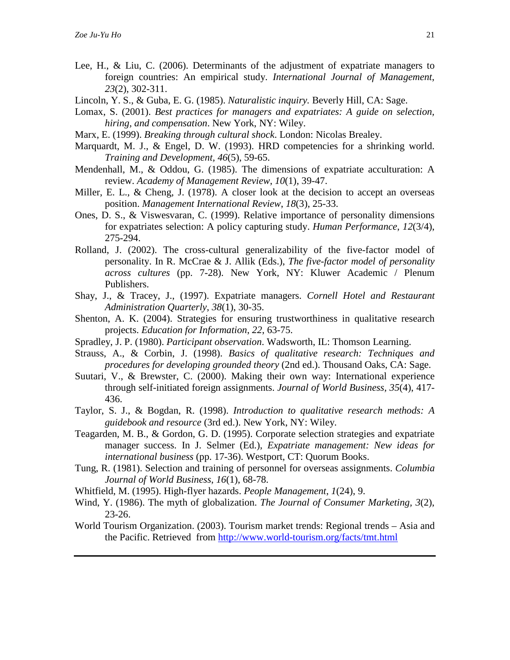- Lee, H., & Liu, C. (2006). Determinants of the adjustment of expatriate managers to foreign countries: An empirical study. *International Journal of Management*, *23*(2), 302-311.
- Lincoln, Y. S., & Guba, E. G. (1985). *Naturalistic inquiry.* Beverly Hill, CA: Sage.
- Lomax, S. (2001). *Best practices for managers and expatriates: A guide on selection, hiring, and compensation*. New York, NY: Wiley.
- Marx, E. (1999). *Breaking through cultural shock*. London: Nicolas Brealey.
- Marquardt, M. J., & Engel, D. W. (1993). HRD competencies for a shrinking world. *Training and Development, 46*(5), 59-65.
- Mendenhall, M., & Oddou, G. (1985). The dimensions of expatriate acculturation: A review. *Academy of Management Review*, *10*(1), 39-47.
- Miller, E. L., & Cheng, J. (1978). A closer look at the decision to accept an overseas position. *Management International Review*, *18*(3), 25-33.
- Ones, D. S., & Viswesvaran, C. (1999). Relative importance of personality dimensions for expatriates selection: A policy capturing study. *Human Performance*, *12*(3/4), 275-294.
- Rolland, J. (2002). The cross-cultural generalizability of the five-factor model of personality. In R. McCrae & J. Allik (Eds.), *The five-factor model of personality across cultures* (pp. 7-28). New York, NY: Kluwer Academic / Plenum Publishers.
- Shay, J., & Tracey, J., (1997). Expatriate managers. *Cornell Hotel and Restaurant Administration Quarterly*, *38*(1), 30-35.
- Shenton, A. K. (2004). Strategies for ensuring trustworthiness in qualitative research projects. *Education for Information*, *22*, 63-75.
- Spradley, J. P. (1980). *Participant observation*. Wadsworth, IL: Thomson Learning.
- Strauss, A., & Corbin, J. (1998). *Basics of qualitative research: Techniques and procedures for developing grounded theory* (2nd ed.). Thousand Oaks, CA: Sage.
- Suutari, V., & Brewster, C. (2000). Making their own way: International experience through self-initiated foreign assignments. *Journal of World Business, 35*(4), 417- 436.
- Taylor, S. J., & Bogdan, R. (1998). *Introduction to qualitative research methods: A guidebook and resource* (3rd ed.). New York, NY: Wiley.
- Teagarden, M. B., & Gordon, G. D. (1995). Corporate selection strategies and expatriate manager success. In J. Selmer (Ed.), *Expatriate management: New ideas for international business* (pp. 17-36). Westport, CT: Quorum Books.
- Tung, R. (1981). Selection and training of personnel for overseas assignments. *Columbia Journal of World Business*, *16*(1), 68-78.
- Whitfield, M. (1995). High-flyer hazards. *People Management*, *1*(24), 9.
- Wind, Y. (1986). The myth of globalization. *The Journal of Consumer Marketing, 3*(2), 23-26.
- World Tourism Organization. (2003). Tourism market trends: Regional trends Asia and the Pacific. Retrieved from<http://www.world-tourism.org/facts/tmt.html>